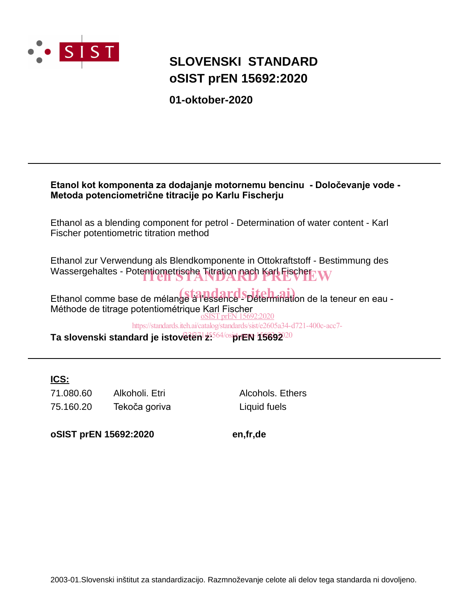

# **SLOVENSKI STANDARD oSIST prEN 15692:2020**

**01-oktober-2020**

## **Etanol kot komponenta za dodajanje motornemu bencinu - Določevanje vode - Metoda potenciometrične titracije po Karlu Fischerju**

Ethanol as a blending component for petrol - Determination of water content - Karl Fischer potentiometric titration method

Ethanol zur Verwendung als Blendkomponente in Ottokraftstoff - Bestimmung des Wassergehaltes - Potentiometrische Titration nach Karl Fischer W

Ethanol comme base de mélange a<sup>n</sup> essence - Détermination de la teneur en eau -Méthode de titrage potentiométrique Karl Fischer oSIST prEN 15692:2020

https://standards.iteh.ai/catalog/standards/sist/e2605a34-d721-400c-acc7-

Ta slovenski standard je istov<sup>8{87|45564/osistEN 15692<sup>)20</sup></sup>

**ICS:**

71.080.60 Alkoholi. Etri Alcohols. Ethers 75.160.20 Tekoča goriva Liquid fuels

**oSIST prEN 15692:2020 en,fr,de**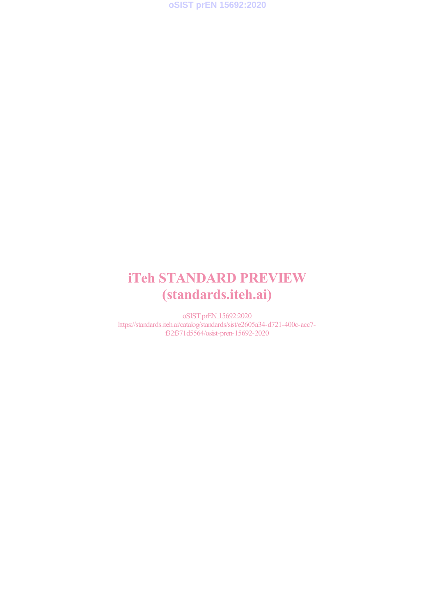**oSIST prEN 15692:2020**

# iTeh STANDARD PREVIEW (standards.iteh.ai)

oSIST prEN 15692:2020 https://standards.iteh.ai/catalog/standards/sist/e2605a34-d721-400c-acc7 f32f371d5564/osist-pren-15692-2020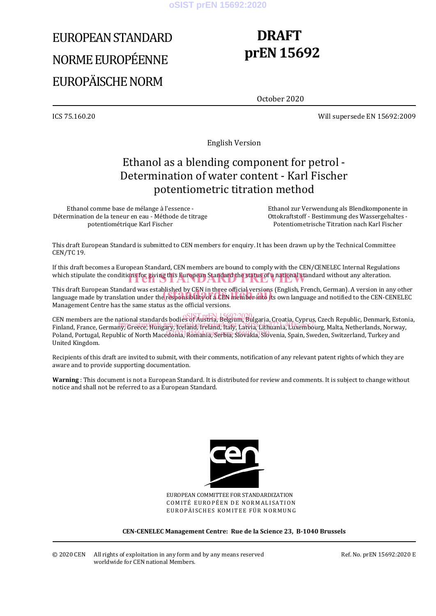

# EUROPEAN STANDARD NORME EUROPÉENNE EUROPÄISCHE NORM

# **DRAFT prEN 15692**

October 2020

ICS 75.160.20 Will supersede EN 15692:2009

English Version

# Ethanol as a blending component for petrol - Determination of water content - Karl Fischer potentiometric titration method

Ethanol comme base de mélange à l'essence - Détermination de la teneur en eau - Méthode de titrage potentiométrique Karl Fischer

 Ethanol zur Verwendung als Blendkomponente in Ottokraftstoff - Bestimmung des Wassergehaltes - Potentiometrische Titration nach Karl Fischer

This draft European Standard is submitted to CEN members for enquiry. It has been drawn up by the Technical Committee CEN/TC 19.

If this draft becomes a European Standard, CEN members are bound to comply with the CEN/CENELEC Internal Regulations which stipulate the conditions for giving this European Standard the status of a national standard without any alteration.

This draft European Standard was established by CEN in three official versions (English, French, German). A version in any other This draft European Standard was established by CEN in three official versions (English, French, German). A version in any other<br>language made by translation under the responsibility of a CEN member into its own language a Management Centre has the same status as the official versions.

o SIST prEN 15692:2020.<br>CEN members are the national standards bodies of Austria, Belgium, Bulgaria, Croatia, Cyprus, Czech Republic, Denmark, Estonia, elly includers are the initional standards boutes of ridstrip, beigning burgary, or and, by price, electric public, beliniary, Estoi<br>Finland, France, Germany, Greece, Hungary, Iceland, Ireland, Italy, Latvia, Lithuania, Lu Poland, Portugal, Republic of North Macedonia, Romania, Serbia, Slovakia, Silovenia, Spain, Sweden, Switzerland, Turkey and United Kingdom.

Recipients of this draft are invited to submit, with their comments, notification of any relevant patent rights of which they are aware and to provide supporting documentation.

**Warning** : This document is not a European Standard. It is distributed for review and comments. It is subject to change without notice and shall not be referred to as a European Standard.



EUROPEAN COMMITTEE FOR STANDARDIZATION COMITÉ EUROPÉEN DE NORMALISATION EUROPÄISCHES KOMITEE FÜR NORMUNG

**CEN-CENELEC Management Centre: Rue de la Science 23, B-1040 Brussels**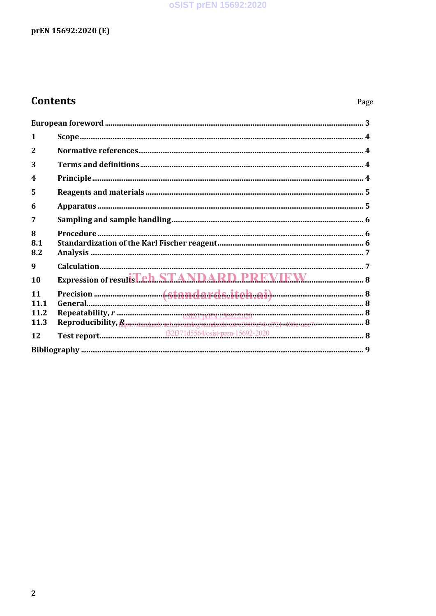# oSIST prEN 15692:2020

# prEN 15692:2020 (E)

# **Contents**

| 1                          | $\textbf{Scope} \textit{} \textit{} \textit{} \textit{} \textit{} \textit{} \textit{} \textit{} \textit{} \textit{} \textit{} \textit{} \textit{} \textit{} \textit{} \textit{} \textit{} \textit{} \textit{} \textit{} \textit{} \textit{} \textit{} \textit{} \textit{} \textit{} \textit{} \textit{} \textit{} \textit{} \textit{} \textit{} \textit{} \textit{} \textit{} \textit{$ |  |
|----------------------------|-----------------------------------------------------------------------------------------------------------------------------------------------------------------------------------------------------------------------------------------------------------------------------------------------------------------------------------------------------------------------------------------|--|
| $\mathbf{2}$               |                                                                                                                                                                                                                                                                                                                                                                                         |  |
| 3                          |                                                                                                                                                                                                                                                                                                                                                                                         |  |
| $\boldsymbol{4}$           |                                                                                                                                                                                                                                                                                                                                                                                         |  |
| 5                          |                                                                                                                                                                                                                                                                                                                                                                                         |  |
| 6                          |                                                                                                                                                                                                                                                                                                                                                                                         |  |
| 7                          |                                                                                                                                                                                                                                                                                                                                                                                         |  |
| 8<br>8.1<br>8.2            |                                                                                                                                                                                                                                                                                                                                                                                         |  |
| 9                          |                                                                                                                                                                                                                                                                                                                                                                                         |  |
| 10                         | Expression of results Teh STANDARD PREVIEW                                                                                                                                                                                                                                                                                                                                              |  |
| 11<br>11.1<br>11.2<br>11.3 |                                                                                                                                                                                                                                                                                                                                                                                         |  |
| 12                         |                                                                                                                                                                                                                                                                                                                                                                                         |  |
|                            |                                                                                                                                                                                                                                                                                                                                                                                         |  |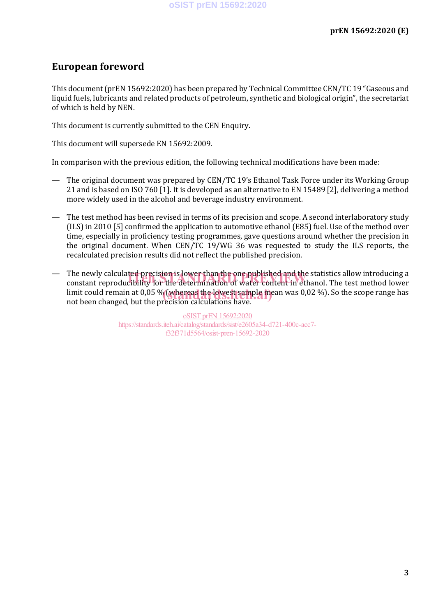# **European foreword**

This document (prEN 15692:2020) has been prepared by Technical Committee CEN/TC 19 "Gaseous and liquid fuels, lubricants and related products of petroleum, synthetic and biological origin", the secretariat of which is held by NEN.

This document is currently submitted to the CEN Enquiry.

This document will supersede EN 15692:2009.

In comparison with the previous edition, the following technical modifications have been made:

- The original document was prepared by CEN/TC 19's Ethanol Task Force under its Working Group 21 and is based on ISO 760 [1]. It is developed as an alternative to EN 15489 [2], delivering a method more widely used in the alcohol and beverage industry environment.
- The test method has been revised in terms of its precision and scope. A second interlaboratory study (ILS) in 2010 [5] confirmed the application to automotive ethanol (E85) fuel. Use of the method over time, especially in proficiency testing programmes, gave questions around whether the precision in the original document. When CEN/TC 19/WG 36 was requested to study the ILS reports, the recalculated precision results did not reflect the published precision.
- The newly calculated precision is lower than the one published and the statistics allow introducing a The newly calculated precision is lower than the one published and the statistics allow introducing a<br>constant reproducibility for the determination of water content in ethanol. The test method lower limit could remain at 0,05 % (whereas the lowest sample mean was 0,02 %). So the scope range has limit the precision calculations have not been changed, but the precision calculations have.

oSIST prEN 15692:2020 https://standards.iteh.ai/catalog/standards/sist/e2605a34-d721-400c-acc7 f32f371d5564/osist-pren-15692-2020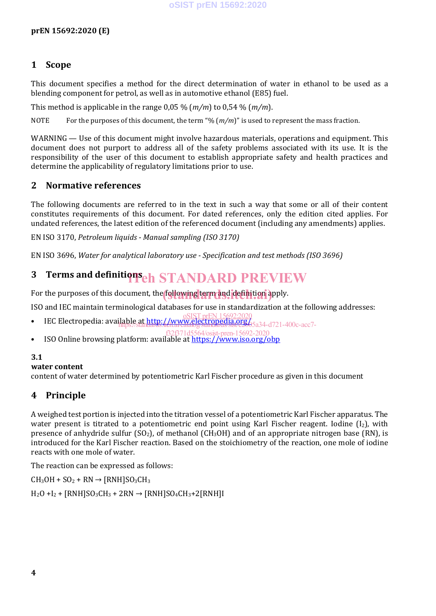# **1 Scope**

This document specifies a method for the direct determination of water in ethanol to be used as a blending component for petrol, as well as in automotive ethanol (E85) fuel.

This method is applicable in the range 0,05 % (*m/m*) to 0,54 % (*m/m*).

NOTE For the purposes of this document, the term "%  $(m/m)$ " is used to represent the mass fraction.

WARNING — Use of this document might involve hazardous materials, operations and equipment. This document does not purport to address all of the safety problems associated with its use. It is the responsibility of the user of this document to establish appropriate safety and health practices and determine the applicability of regulatory limitations prior to use.

# **2 Normative references**

The following documents are referred to in the text in such a way that some or all of their content constitutes requirements of this document. For dated references, only the edition cited applies. For undated references, the latest edition of the referenced document (including any amendments) applies.

EN ISO 3170, *Petroleum liquids - Manual sampling (ISO 3170)*

EN ISO 3696, *Water for analytical laboratory use - Specification and test methods (ISO 3696)*

# **3 Terms and definitions the STANDARD PREVIEW**

For the purposes of this document, the <mark>following term and definition a</mark>pply.

ISO and IEC maintain terminological databases for use in standardization at the following addresses: oSIST prEN 15692:2020

- IEC Electropedia: available at http://www.electropedia.org/<br>https://www.electropedia.org/ h**able at http://www.elecu.opedia.org/**<br>https://stan<del>dards.iteh.aveatalog/standards/sist/e260</del>5a34-d721-400c-acc7-
- ISO Online browsing platform: available at <u>https://www.iso.org/obp</u> f32f371d5564/osist-pren-15692-2020

#### **3.1**

#### **water content**

content of water determined by potentiometric Karl Fischer procedure as given in this document

## **4 Principle**

A weighed test portion is injected into the titration vessel of a potentiometric Karl Fischer apparatus. The water present is titrated to a potentiometric end point using Karl Fischer reagent. Iodine  $(I_2)$ , with presence of anhydride sulfur  $(SO_2)$ , of methanol  $(CH_3OH)$  and of an appropriate nitrogen base (RN), is introduced for the Karl Fischer reaction. Based on the stoichiometry of the reaction, one mole of iodine reacts with one mole of water.

The reaction can be expressed as follows:

 $CH_3OH + SO_2 + RN \rightarrow [RNH]SO_3CH_3$ 

 $H_2O + I_2 + [RNH]SO_3CH_3 + 2RN \rightarrow [RNH]SO_4CH_3 + 2[RNH]I$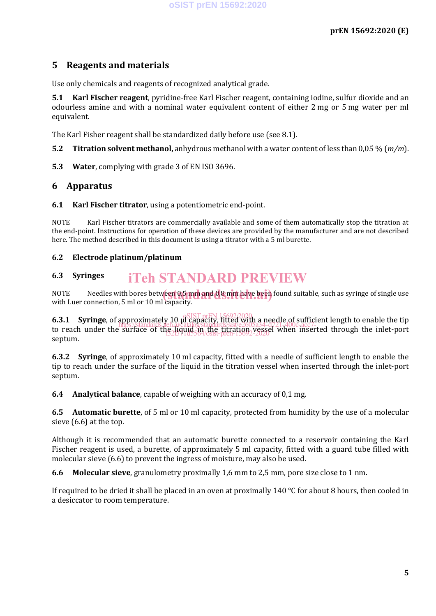# **5 Reagents and materials**

Use only chemicals and reagents of recognized analytical grade.

**5.1 Karl Fischer reagent**, pyridine-free Karl Fischer reagent, containing iodine, sulfur dioxide and an odourless amine and with a nominal water equivalent content of either 2 mg or 5 mg water per ml equivalent.

The Karl Fisher reagent shall be standardized daily before use (see 8.1).

**5.2 Titration solvent methanol,** anhydrous methanol with a water content of less than 0,05 % (*m/m*).

**5.3 Water**, complying with grade 3 of EN ISO 3696.

## **6 Apparatus**

**6.1 Karl Fischer titrator**, using a potentiometric end-point.

NOTE Karl Fischer titrators are commercially available and some of them automatically stop the titration at the end-point. Instructions for operation of these devices are provided by the manufacturer and are not described here. The method described in this document is using a titrator with a 5 ml burette.

#### **6.2 Electrode platinum/platinum**

#### **6.3 Syringes** iTeh STANDARD PREVIEW

NOTE Needles with bores between 0,5 mm and 0,8 mm have been found suitable, such as syringe of single use<br>with Luer connection, 5 mLor 10 mL canacity with Luer connection, 5 ml or 10 ml capacity.

**6.3.1 Syringe**, of approximately 10, GSIST pFN 15692:2020.<br>**6.3.1 Syringe**, of approximately 10, if capacity, fitted with a needle of sufficient length to enable the tip to reach under the surface of the liquid in the titration vessel when inserted through the inlet-port septum. https://standards.iteh.ai/catalog/standards/sist/e2605a34-d721-400c-acc7 f32f371d5564/osist-pren-15692-2020

**6.3.2 Syringe**, of approximately 10 ml capacity, fitted with a needle of sufficient length to enable the tip to reach under the surface of the liquid in the titration vessel when inserted through the inlet-port septum.

**6.4 Analytical balance**, capable of weighing with an accuracy of 0,1 mg.

**6.5 Automatic burette**, of 5 ml or 10 ml capacity, protected from humidity by the use of a molecular sieve (6.6) at the top.

Although it is recommended that an automatic burette connected to a reservoir containing the Karl Fischer reagent is used, a burette, of approximately 5 ml capacity, fitted with a guard tube filled with molecular sieve (6.6) to prevent the ingress of moisture, may also be used.

**6.6 Molecular sieve**, granulometry proximally 1,6 mm to 2,5 mm, pore size close to 1 nm.

If required to be dried it shall be placed in an oven at proximally 140  $\degree$ C for about 8 hours, then cooled in a desiccator to room temperature.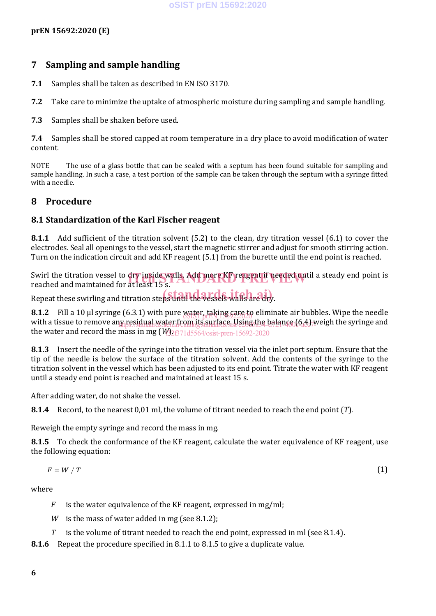# **7 Sampling and sample handling**

**7.1** Samples shall be taken as described in EN ISO 3170.

**7.2** Take care to minimize the uptake of atmospheric moisture during sampling and sample handling.

**7.3** Samples shall be shaken before used.

**7.4** Samples shall be stored capped at room temperature in a dry place to avoid modification of water content.

NOTE The use of a glass bottle that can be sealed with a septum has been found suitable for sampling and sample handling. In such a case, a test portion of the sample can be taken through the septum with a syringe fitted with a needle.

## **8 Procedure**

## **8.1 Standardization of the Karl Fischer reagent**

**8.1.1** Add sufficient of the titration solvent (5.2) to the clean, dry titration vessel (6.1) to cover the electrodes. Seal all openings to the vessel, start the magnetic stirrer and adjust for smooth stirring action. Turn on the indication circuit and add KF reagent (5.1) from the burette until the end point is reached.

Swirl the titration vessel to dry inside walls. Add more KF reagent if needed until a steady end point is reached and maintained for at least 15 s reached and maintained for at least 15 s.

Repeat these swirling and titration steps until the vessels walls are dry.

**8.1.2** Fill a 10 µl syringe (6.3.1) with pure water, taking care to eliminate air bubbles. Wipe the needle with a tissue to remove any residual water from its surface. Using the balance (6,4) weigh the syringe and<br>. the water and record the mass in mg (*W*). B71d5564/osist-pren-15692-2020

**8.1.3** Insert the needle of the syringe into the titration vessel via the inlet port septum. Ensure that the tip of the needle is below the surface of the titration solvent. Add the contents of the syringe to the titration solvent in the vessel which has been adjusted to its end point. Titrate the water with KF reagent until a steady end point is reached and maintained at least 15 s.

After adding water, do not shake the vessel.

**8.1.4** Record, to the nearest 0,01 ml, the volume of titrant needed to reach the end point (*T*).

Reweigh the empty syringe and record the mass in mg.

**8.1.5** To check the conformance of the KF reagent, calculate the water equivalence of KF reagent, use the following equation:

$$
F = W / T \tag{1}
$$

where

- *F* is the water equivalence of the KF reagent, expressed in mg/ml;
- *W* is the mass of water added in mg (see 8.1.2);
- *T* is the volume of titrant needed to reach the end point, expressed in ml (see 8.1.4).
- **8.1.6** Repeat the procedure specified in 8.1.1 to 8.1.5 to give a duplicate value.